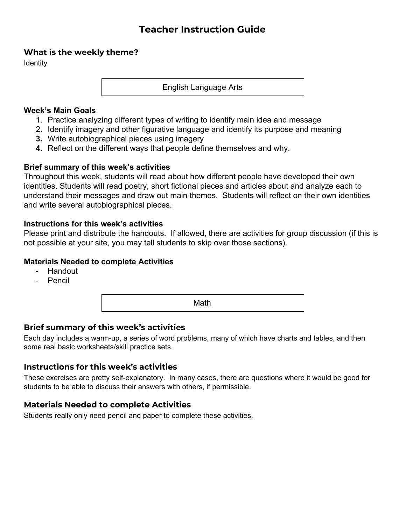# **Teacher Instruction Guide**

#### **What is the weekly theme?**

**Identity** 

English Language Arts

#### **Week's Main Goals**

- 1. Practice analyzing different types of writing to identify main idea and message
- 2. Identify imagery and other figurative language and identify its purpose and meaning
- **3.** Write autobiographical pieces using imagery
- **4.** Reflect on the different ways that people define themselves and why.

#### **Brief summary of this week's activities**

Throughout this week, students will read about how different people have developed their own identities. Students will read poetry, short fictional pieces and articles about and analyze each to understand their messages and draw out main themes. Students will reflect on their own identities and write several autobiographical pieces.

#### **Instructions for this week's activities**

Please print and distribute the handouts. If allowed, there are activities for group discussion (if this is not possible at your site, you may tell students to skip over those sections).

#### **Materials Needed to complete Activities**

- Handout
- Pencil

Math

# **Brief summary of this week's activities**

Each day includes a warm-up, a series of word problems, many of which have charts and tables, and then some real basic worksheets/skill practice sets.

### **Instructions for this week's activities**

These exercises are pretty self-explanatory. In many cases, there are questions where it would be good for students to be able to discuss their answers with others, if permissible.

### **Materials Needed to complete Activities**

Students really only need pencil and paper to complete these activities.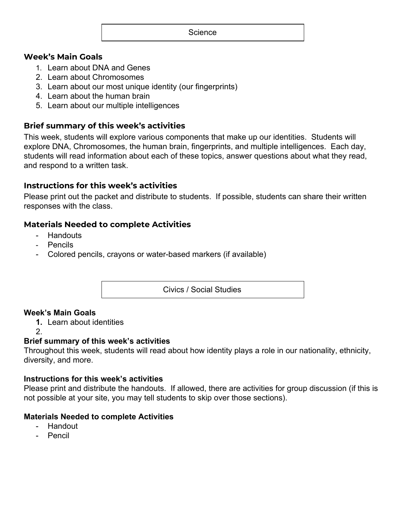#### **Science**

#### **Week's Main Goals**

- 1. Learn about DNA and Genes
- 2. Learn about Chromosomes
- 3. Learn about our most unique identity (our fingerprints)
- 4. Learn about the human brain
- 5. Learn about our multiple intelligences

### **Brief summary of this week's activities**

This week, students will explore various components that make up our identities. Students will explore DNA, Chromosomes, the human brain, fingerprints, and multiple intelligences. Each day, students will read information about each of these topics, answer questions about what they read, and respond to a written task.

### **Instructions for this week's activities**

Please print out the packet and distribute to students. If possible, students can share their written responses with the class.

### **Materials Needed to complete Activities**

- Handouts
- Pencils
- Colored pencils, crayons or water-based markers (if available)

Civics / Social Studies

### **Week's Main Goals**

- **1.** Learn about identities
- 2.

### **Brief summary of this week's activities**

Throughout this week, students will read about how identity plays a role in our nationality, ethnicity, diversity, and more.

#### **Instructions for this week's activities**

Please print and distribute the handouts. If allowed, there are activities for group discussion (if this is not possible at your site, you may tell students to skip over those sections).

### **Materials Needed to complete Activities**

- Handout
- Pencil